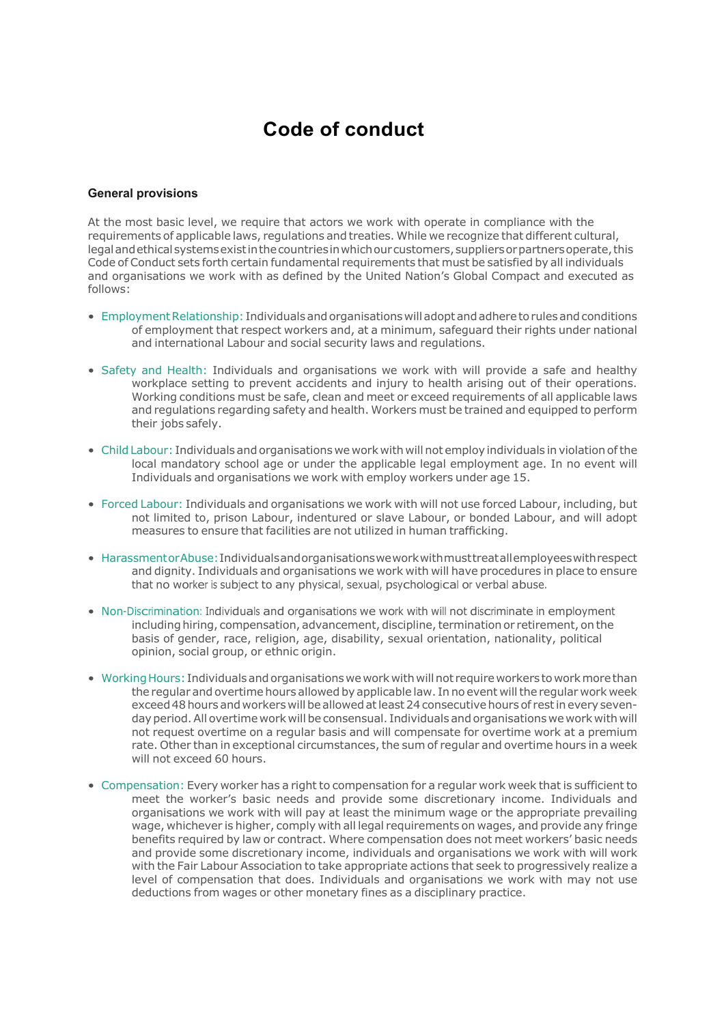## **Code of conduct**

## **General provisions**

At the most basic level, we require that actors we work with operate in compliance with the requirements of applicable laws, regulations and treaties. While we recognize that different cultural, legalandethicalsystemsexistinthecountriesinwhichourcustomers,suppliersorpartnersoperate,this Code of Conduct sets forth certain fundamental requirements that must be satisfied by all individuals and organisations we work with as defined by the United Nation's Global Compact and executed as follows:

- Employment Relationship: Individuals and organisations will adopt and adhere to rules and conditions of employment that respect workers and, at a minimum, safeguard their rights under national and international Labour and social security laws and regulations.
- Safety and Health: Individuals and organisations we work with will provide a safe and healthy workplace setting to prevent accidents and injury to health arising out of their operations. Working conditions must be safe, clean and meet or exceed requirements of all applicable laws and regulations regarding safety and health. Workers must be trained and equipped to perform their jobs safely.
- ChildLabour: Individuals and organisations we work with will not employ individuals inviolationofthe local mandatory school age or under the applicable legal employment age. In no event will Individuals and organisations we work with employ workers under age 15.
- Forced Labour: Individuals and organisations we work with will not use forced Labour, including, but not limited to, prison Labour, indentured or slave Labour, or bonded Labour, and will adopt measures to ensure that facilities are not utilized in human trafficking.
- HarassmentorAbuse:Individualsandorganisationsweworkwithmusttreatallemployeeswithrespect and dignity. Individuals and organisations we work with will have procedures in place to ensure that no worker is subject to any physical, sexual, psychological or verbal abuse.
- Non-Discrimination: Individuals and organisations we work with will not discriminate in employment including hiring, compensation, advancement, discipline, termination or retirement, on the basis of gender, race, religion, age, disability, sexual orientation, nationality, political opinion, social group, or ethnic origin.
- Working Hours: Individuals and organisations we work with will not require workers to work more than the regular and overtime hours allowed by applicable law. In no event willthe regular work week exceed 48 hours and workers will be allowed at least 24 consecutive hours of rest in every sevenday period. All overtime work will be consensual. Individuals and organisations we work with will not request overtime on a regular basis and will compensate for overtime work at a premium rate. Other than in exceptional circumstances, the sum of regular and overtime hours in a week will not exceed 60 hours.
- Compensation: Every worker has a right to compensation for a regular work week that is sufficient to meet the worker's basic needs and provide some discretionary income. Individuals and organisations we work with will pay at least the minimum wage or the appropriate prevailing wage, whichever is higher, comply with all legal requirements on wages, and provide any fringe benefits required by law or contract. Where compensation does not meet workers' basic needs and provide some discretionary income, individuals and organisations we work with will work with the Fair Labour Association to take appropriate actions that seek to progressively realize a level of compensation that does. Individuals and organisations we work with may not use deductions from wages or other monetary fines as a disciplinary practice.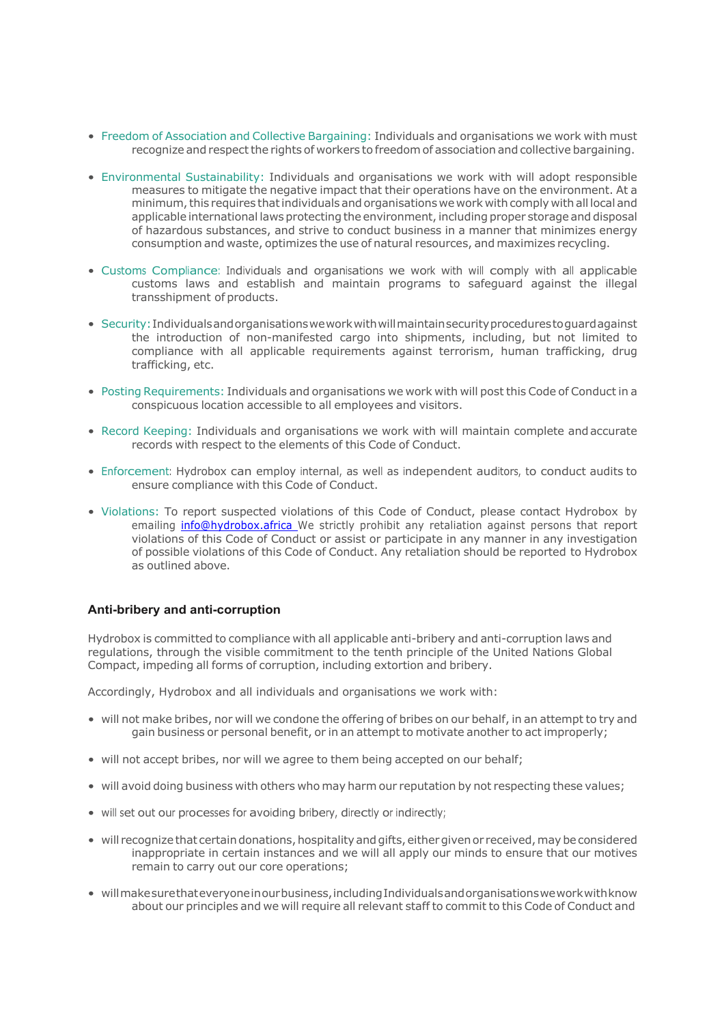- Freedom of Association and Collective Bargaining: Individuals and organisations we work with must recognize and respect the rights of workers to freedom of association and collective bargaining.
- Environmental Sustainability: Individuals and organisations we work with will adopt responsible measures to mitigate the negative impact that their operations have on the environment. At a minimum, this requires that individuals and organisations we work with comply with all local and applicable international laws protecting the environment, including proper storage and disposal of hazardous substances, and strive to conduct business in a manner that minimizes energy consumption and waste, optimizes the use of natural resources, and maximizes recycling.
- Customs Compliance: Individuals and organisations we work with will comply with all applicable customs laws and establish and maintain programs to safeguard against the illegal transshipment of products.
- Security:Individualsandorganisationsweworkwithwillmaintainsecurityprocedurestoguardagainst the introduction of non-manifested cargo into shipments, including, but not limited to compliance with all applicable requirements against terrorism, human trafficking, drug trafficking, etc.
- Posting Requirements: Individuals and organisations we work with will post this Code of Conduct in a conspicuous location accessible to all employees and visitors.
- Record Keeping: Individuals and organisations we work with will maintain complete andaccurate records with respect to the elements of this Code of Conduct.
- Enforcement: Hydrobox can employ internal, as well as independent auditors, to conduct audits to ensure compliance with this Code of Conduct.
- Violations: To report suspected violations of this Code of Conduct, please contact Hydrobox by emailing info@hydrobox.africa We strictly prohibit any retaliation against persons that report violations of this Code of Conduct or assist or participate in any manner in any investigation of possible violations of this Code of Conduct. Any retaliation should be reported to Hydrobox as outlined above.

## **Anti-bribery and anti-corruption**

Hydrobox is committed to compliance with all applicable anti-bribery and anti-corruption laws and regulations, through the visible commitment to the tenth principle of the United Nations Global Compact, impeding all forms of corruption, including extortion and bribery.

Accordingly, Hydrobox and all individuals and organisations we work with:

- will not make bribes, nor will we condone the offering of bribes on our behalf, in an attempt to try and gain business or personal benefit, or in an attempt to motivate another to act improperly;
- will not accept bribes, nor will we agree to them being accepted on our behalf;
- will avoid doing business with others who may harm our reputation by not respecting these values;
- will set out our processes for avoiding bribery, directly or indirectly;
- will recognize that certain donations, hospitality and gifts, either given or received, may be considered inappropriate in certain instances and we will all apply our minds to ensure that our motives remain to carry out our core operations;
- willmakesurethateveryoneinourbusiness,includingIndividualsandorganisationsweworkwithknow about our principles and we will require all relevant staff to commit to this Code of Conduct and